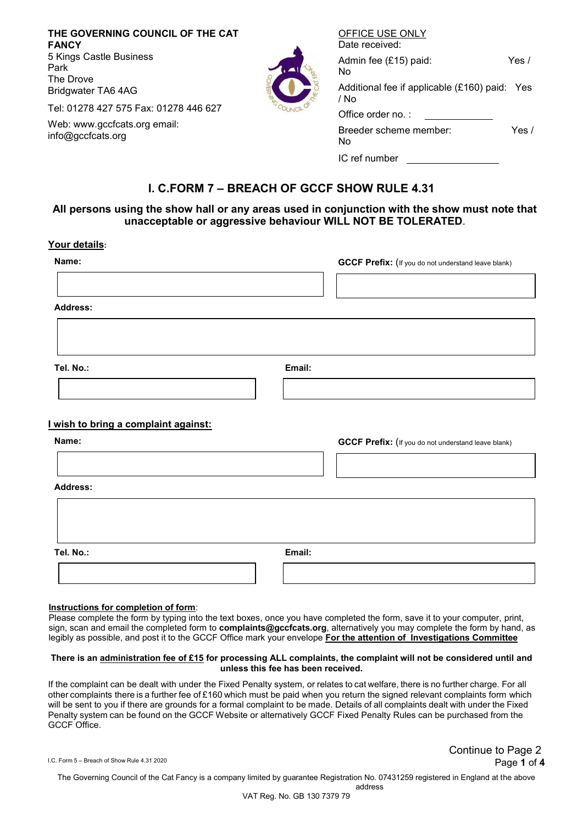| THE GOVERNING COUNCIL OF THE CAT<br><b>FANCY</b><br>5 Kings Castle Business<br>Park<br>The Drove<br>Bridgwater TA6 4AG<br>Tel: 01278 427 575 Fax: 01278 446 627<br>Web: www.gccfcats.org email:<br>info@gccfcats.org |  | OFFICE USE ONLY<br>Date received:                     |       |
|----------------------------------------------------------------------------------------------------------------------------------------------------------------------------------------------------------------------|--|-------------------------------------------------------|-------|
|                                                                                                                                                                                                                      |  | Admin fee (£15) paid:<br>No.                          | Yes / |
|                                                                                                                                                                                                                      |  | Additional fee if applicable (£160) paid: Yes<br>/ No |       |
|                                                                                                                                                                                                                      |  | Office order no.:                                     |       |
|                                                                                                                                                                                                                      |  | Breeder scheme member:<br>No.                         | Yes / |
|                                                                                                                                                                                                                      |  | IC ref number                                         |       |

## **I. C.FORM 7 – BREACH OF GCCF SHOW RULE 4.31**

## **All persons using the show hall or any areas used in conjunction with the show must note that unacceptable or aggressive behaviour WILL NOT BE TOLERATED**.

#### **Your details:**

| Name:                                       |  |        | <b>GCCF Prefix:</b> (If you do not understand leave blank) |  |
|---------------------------------------------|--|--------|------------------------------------------------------------|--|
|                                             |  |        |                                                            |  |
| <b>Address:</b>                             |  |        |                                                            |  |
|                                             |  |        |                                                            |  |
| Tel. No.:                                   |  | Email: |                                                            |  |
|                                             |  |        |                                                            |  |
| <u>I wish to bring a complaint against:</u> |  |        |                                                            |  |
| Name:                                       |  |        | <b>GCCF Prefix:</b> (If you do not understand leave blank) |  |
|                                             |  |        |                                                            |  |
| <b>Address:</b>                             |  |        |                                                            |  |
|                                             |  |        |                                                            |  |
|                                             |  |        |                                                            |  |
| Tel. No.:                                   |  | Email: |                                                            |  |
|                                             |  |        |                                                            |  |

#### **Instructions for completion of form**:

Please complete the form by typing into the text boxes, once you have completed the form, save it to your computer, print, sign, scan and email the completed form to **complaints@gccfcats.org**, alternatively you may complete the form by hand, as legibly as possible, and post it to the GCCF Office mark your envelope **For the attention of Investigations Committee**

#### **There is an administration fee of £15 for processing ALL complaints, the complaint will not be considered until and unless this fee has been received.**

If the complaint can be dealt with under the Fixed Penalty system, or relates to cat welfare, there is no further charge. For all other complaints there is a further fee of £160 which must be paid when you return the signed relevant complaints form which will be sent to you if there are grounds for a formal complaint to be made. Details of all complaints dealt with under the Fixed Penalty system can be found on the GCCF Website or alternatively GCCF Fixed Penalty Rules can be purchased from the GCCF Office.

I.C. Form 5 – Breach of Show Rule 4.31 <sup>2020</sup> Page **1** of **4** Continue to Page 2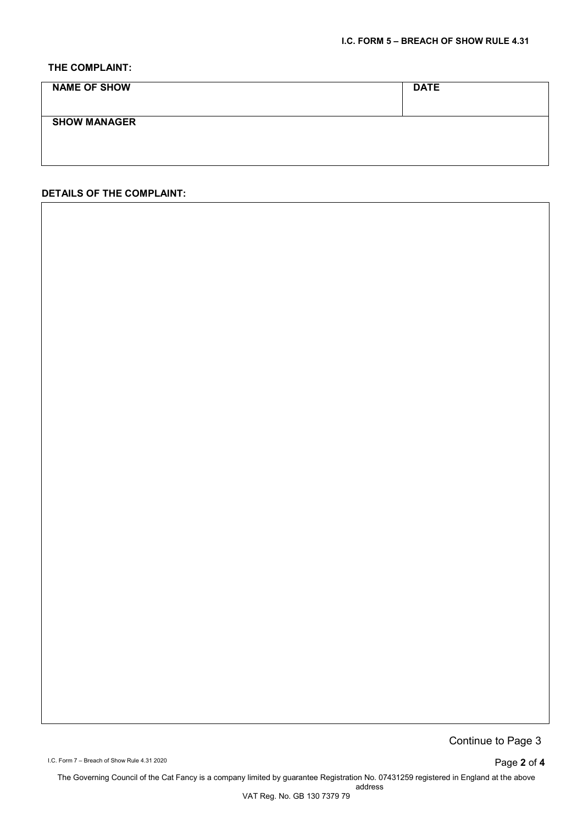## **THE COMPLAINT:**

| <b>NAME OF SHOW</b> | <b>DATE</b> |
|---------------------|-------------|
|                     |             |
| <b>SHOW MANAGER</b> |             |
|                     |             |
|                     |             |

### **DETAILS OF THE COMPLAINT:**

Continue to Page 3

I.C. Form 7 – Breach of Show Rule 4.31 2020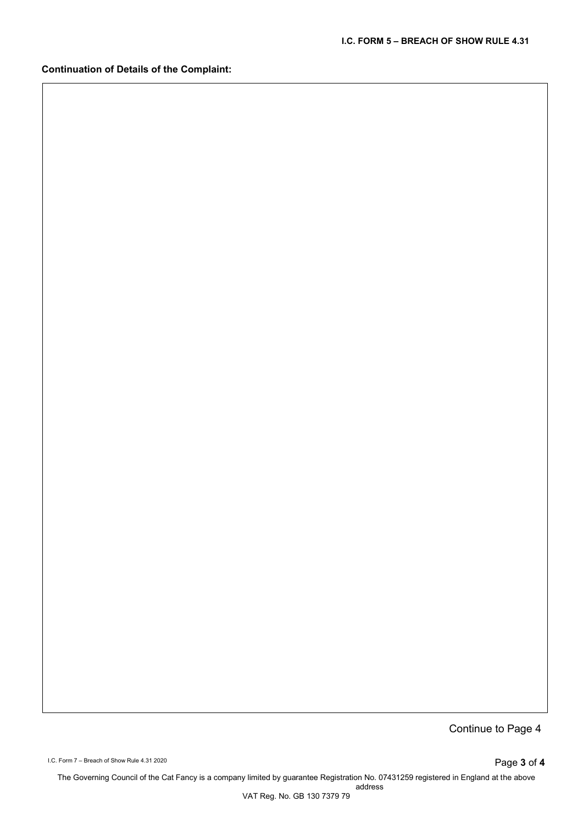**Continuation of Details of the Complaint:**

Continue to Page 4

I.C. Form 7 – Breach of Show Rule 4.31 2020